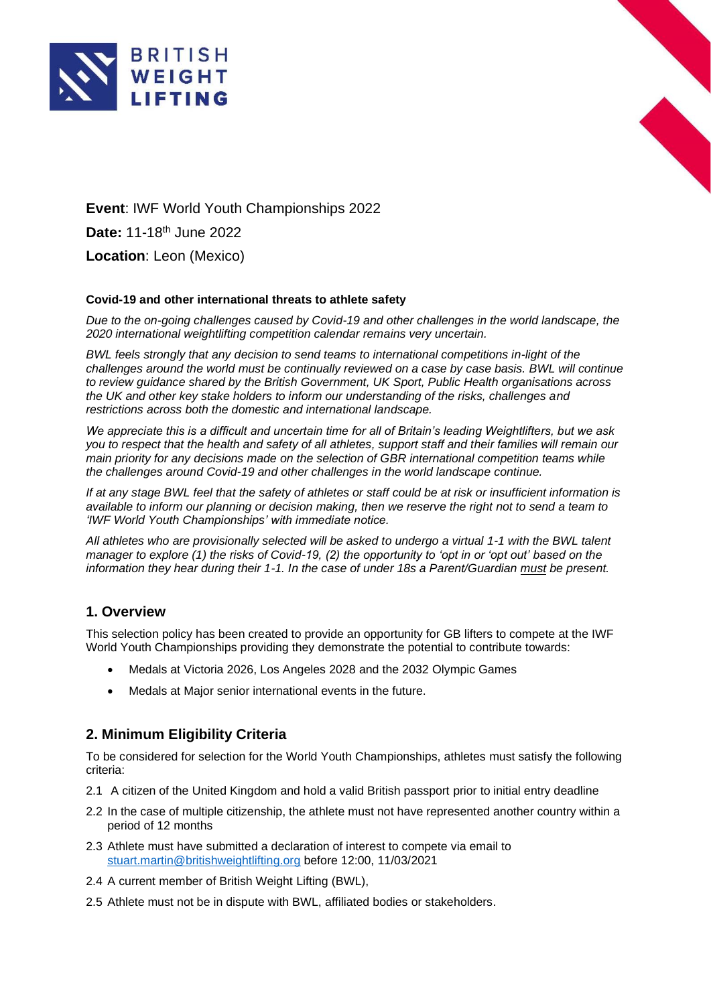



**Event**: IWF World Youth Championships 2022 **Date:** 11-18th June 2022 **Location**: Leon (Mexico)

### **Covid-19 and other international threats to athlete safety**

*Due to the on-going challenges caused by Covid-19 and other challenges in the world landscape, the 2020 international weightlifting competition calendar remains very uncertain.*

*BWL feels strongly that any decision to send teams to international competitions in-light of the challenges around the world must be continually reviewed on a case by case basis. BWL will continue to review guidance shared by the British Government, UK Sport, Public Health organisations across the UK and other key stake holders to inform our understanding of the risks, challenges and restrictions across both the domestic and international landscape.*

*We appreciate this is a difficult and uncertain time for all of Britain's leading Weightlifters, but we ask you to respect that the health and safety of all athletes, support staff and their families will remain our main priority for any decisions made on the selection of GBR international competition teams while the challenges around Covid-19 and other challenges in the world landscape continue.*

*If at any stage BWL feel that the safety of athletes or staff could be at risk or insufficient information is available to inform our planning or decision making, then we reserve the right not to send a team to 'IWF World Youth Championships' with immediate notice.*

*All athletes who are provisionally selected will be asked to undergo a virtual 1-1 with the BWL talent manager to explore (1) the risks of Covid-19, (2) the opportunity to 'opt in or 'opt out' based on the information they hear during their 1-1. In the case of under 18s a Parent/Guardian must be present.*

## **1. Overview**

This selection policy has been created to provide an opportunity for GB lifters to compete at the IWF World Youth Championships providing they demonstrate the potential to contribute towards:

- Medals at Victoria 2026, Los Angeles 2028 and the 2032 Olympic Games
- Medals at Major senior international events in the future.

# **2. Minimum Eligibility Criteria**

To be considered for selection for the World Youth Championships, athletes must satisfy the following criteria:

- 2.1 A citizen of the United Kingdom and hold a valid British passport prior to initial entry deadline
- 2.2 In the case of multiple citizenship, the athlete must not have represented another country within a period of 12 months
- 2.3 Athlete must have submitted a declaration of interest to compete via email to [stuart.martin@britishweightlifting.org](mailto:stuart.martin@britishweightlifting.org) before 12:00, 11/03/2021
- 2.4 A current member of British Weight Lifting (BWL),
- 2.5 Athlete must not be in dispute with BWL, affiliated bodies or stakeholders.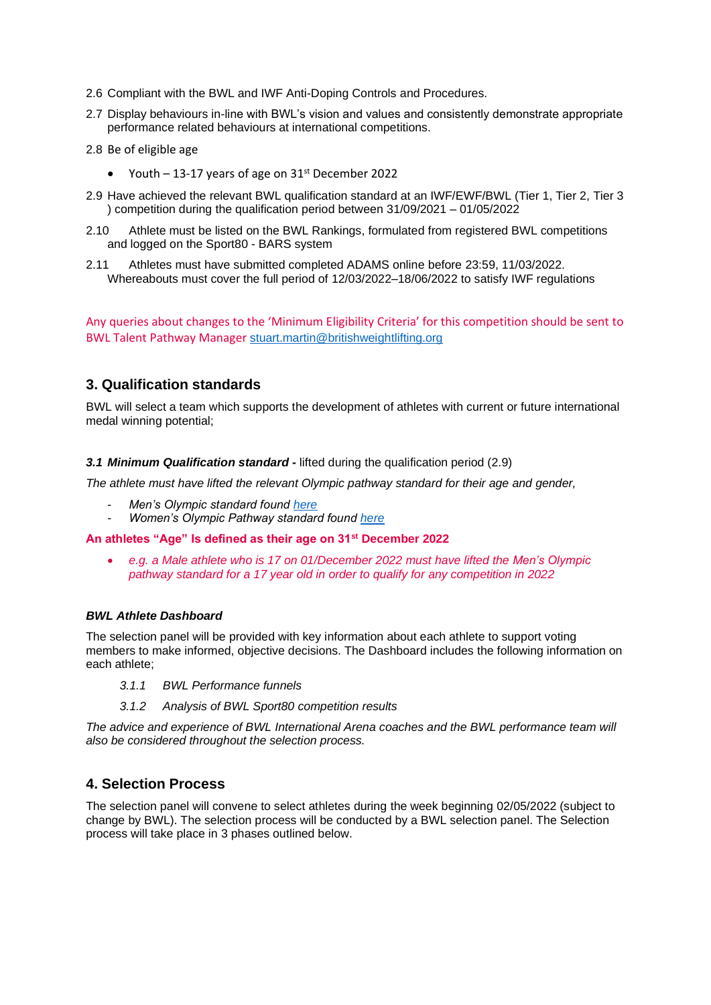- 2.6 Compliant with the BWL and IWF Anti-Doping Controls and Procedures.
- 2.7 Display behaviours in-line with BWL's vision and values and consistently demonstrate appropriate performance related behaviours at international competitions.
- 2.8 Be of eligible age
	- Youth  $-13-17$  years of age on  $31<sup>st</sup>$  December 2022
- 2.9 Have achieved the relevant BWL qualification standard at an IWF/EWF/BWL (Tier 1, Tier 2, Tier 3 ) competition during the qualification period between 31/09/2021 – 01/05/2022
- 2.10 Athlete must be listed on the BWL Rankings, formulated from registered BWL competitions and logged on the Sport80 - BARS system
- 2.11 Athletes must have submitted completed ADAMS online before 23:59, 11/03/2022. Whereabouts must cover the full period of 12/03/2022–18/06/2022 to satisfy IWF regulations

Any queries about changes to the 'Minimum Eligibility Criteria' for this competition should be sent to BWL Talent Pathway Manager [stuart.martin@britishweightlifting.org](mailto:stuart.martin@britishweightlifting.org)

# **3. Qualification standards**

BWL will select a team which supports the development of athletes with current or future international medal winning potential;

#### *3.1 Minimum Qualification standard -* lifted during the qualification period (2.9)

*The athlete must have lifted the relevant Olympic pathway standard for their age and gender,* 

- *Men's Olympic standard found [here](https://britishweightlifting.org/resources/male-olympic-pathway-standards-021118103331.pdf)*
- *Women's Olympic Pathway standard found [here](https://britishweightlifting.org/resources/female-olympic-pathway-standards-021118103245.pdf)*

**An athletes "Age" Is defined as their age on 31st December 2022**

• *e.g. a Male athlete who is 17 on 01/December 2022 must have lifted the Men's Olympic pathway standard for a 17 year old in order to qualify for any competition in 2022*

#### *BWL Athlete Dashboard*

The selection panel will be provided with key information about each athlete to support voting members to make informed, objective decisions. The Dashboard includes the following information on each athlete;

- *3.1.1 BWL Performance funnels*
- *3.1.2 Analysis of BWL Sport80 competition results*

*The advice and experience of BWL International Arena coaches and the BWL performance team will also be considered throughout the selection process.*

## **4. Selection Process**

The selection panel will convene to select athletes during the week beginning 02/05/2022 (subject to change by BWL). The selection process will be conducted by a BWL selection panel. The Selection process will take place in 3 phases outlined below.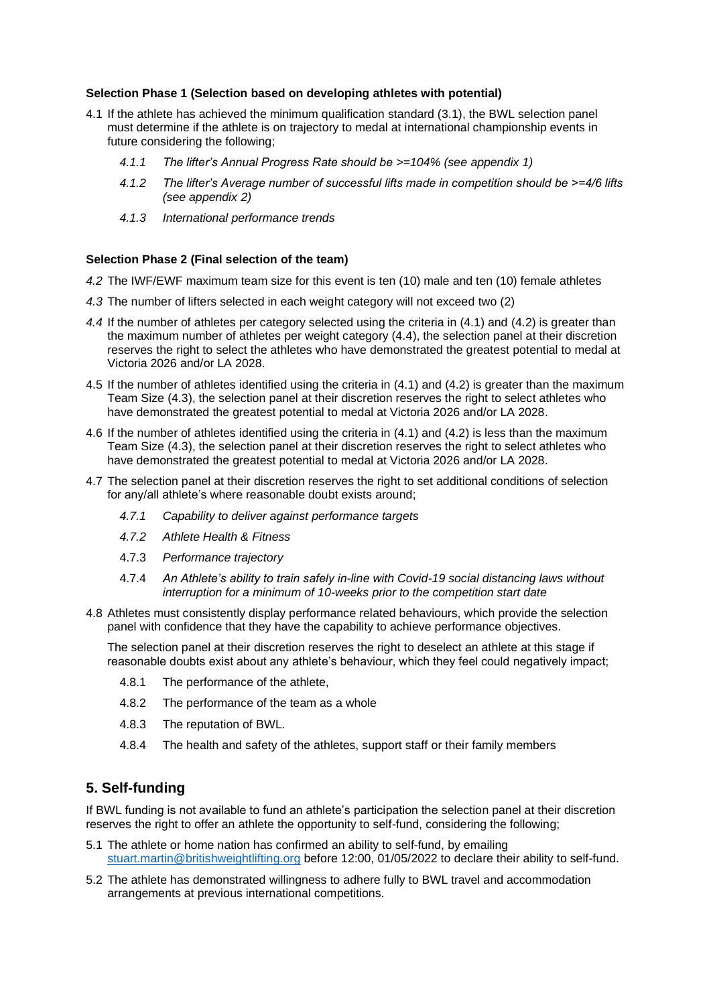#### **Selection Phase 1 (Selection based on developing athletes with potential)**

- 4.1 If the athlete has achieved the minimum qualification standard (3.1), the BWL selection panel must determine if the athlete is on trajectory to medal at international championship events in future considering the following;
	- *4.1.1 The lifter's Annual Progress Rate should be >=104% (see appendix 1)*
	- *4.1.2 The lifter's Average number of successful lifts made in competition should be >=4/6 lifts (see appendix 2)*
	- *4.1.3 International performance trends*

#### **Selection Phase 2 (Final selection of the team)**

- *4.2* The IWF/EWF maximum team size for this event is ten (10) male and ten (10) female athletes
- *4.3* The number of lifters selected in each weight category will not exceed two (2)
- *4.4* If the number of athletes per category selected using the criteria in (4.1) and (4.2) is greater than the maximum number of athletes per weight category (4.4), the selection panel at their discretion reserves the right to select the athletes who have demonstrated the greatest potential to medal at Victoria 2026 and/or LA 2028.
- 4.5 If the number of athletes identified using the criteria in (4.1) and (4.2) is greater than the maximum Team Size (4.3), the selection panel at their discretion reserves the right to select athletes who have demonstrated the greatest potential to medal at Victoria 2026 and/or LA 2028.
- 4.6 If the number of athletes identified using the criteria in (4.1) and (4.2) is less than the maximum Team Size (4.3), the selection panel at their discretion reserves the right to select athletes who have demonstrated the greatest potential to medal at Victoria 2026 and/or LA 2028.
- 4.7 The selection panel at their discretion reserves the right to set additional conditions of selection for any/all athlete's where reasonable doubt exists around;
	- *4.7.1 Capability to deliver against performance targets*
	- *4.7.2 Athlete Health & Fitness*
	- 4.7.3 *Performance trajectory*
	- 4.7.4 *An Athlete's ability to train safely in-line with Covid-19 social distancing laws without interruption for a minimum of 10-weeks prior to the competition start date*
- 4.8 Athletes must consistently display performance related behaviours, which provide the selection panel with confidence that they have the capability to achieve performance objectives.

The selection panel at their discretion reserves the right to deselect an athlete at this stage if reasonable doubts exist about any athlete's behaviour, which they feel could negatively impact;

- 4.8.1 The performance of the athlete,
- 4.8.2 The performance of the team as a whole
- 4.8.3 The reputation of BWL.
- 4.8.4 The health and safety of the athletes, support staff or their family members

## **5. Self-funding**

If BWL funding is not available to fund an athlete's participation the selection panel at their discretion reserves the right to offer an athlete the opportunity to self-fund, considering the following;

- 5.1 The athlete or home nation has confirmed an ability to self-fund, by emailing [stuart.martin@britishweightlifting.org](mailto:stuart.martin@britishweightlifting.org) before 12:00, 01/05/2022 to declare their ability to self-fund.
- 5.2 The athlete has demonstrated willingness to adhere fully to BWL travel and accommodation arrangements at previous international competitions.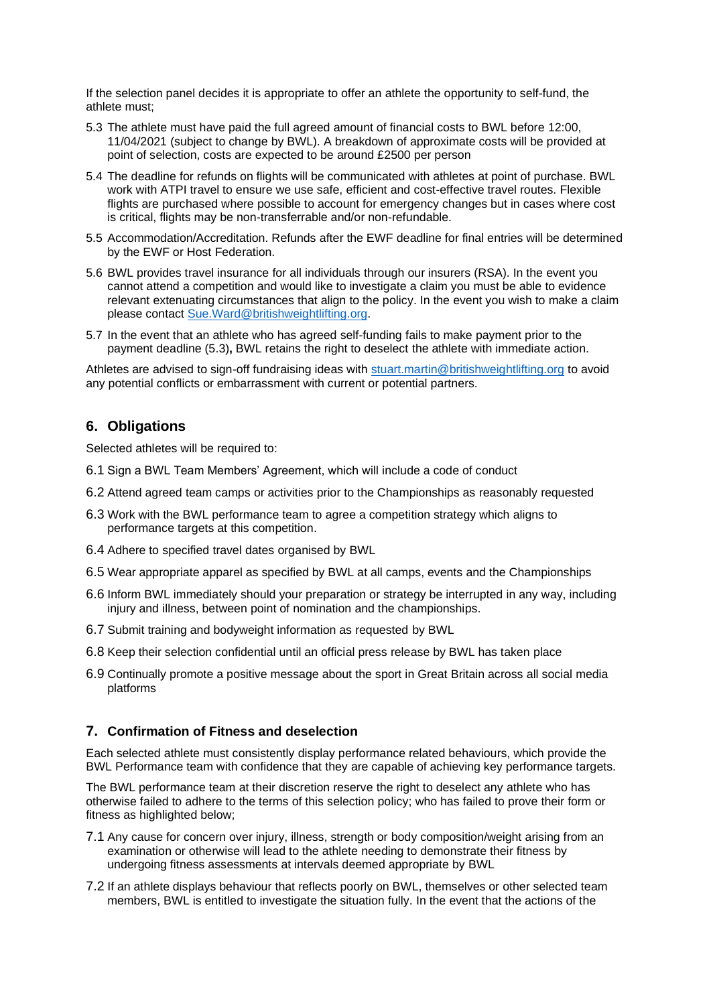If the selection panel decides it is appropriate to offer an athlete the opportunity to self-fund, the athlete must;

- 5.3 The athlete must have paid the full agreed amount of financial costs to BWL before 12:00, 11/04/2021 (subject to change by BWL). A breakdown of approximate costs will be provided at point of selection, costs are expected to be around £2500 per person
- 5.4 The deadline for refunds on flights will be communicated with athletes at point of purchase. BWL work with ATPI travel to ensure we use safe, efficient and cost-effective travel routes. Flexible flights are purchased where possible to account for emergency changes but in cases where cost is critical, flights may be non-transferrable and/or non-refundable.
- 5.5 Accommodation/Accreditation. Refunds after the EWF deadline for final entries will be determined by the EWF or Host Federation.
- 5.6 BWL provides travel insurance for all individuals through our insurers (RSA). In the event you cannot attend a competition and would like to investigate a claim you must be able to evidence relevant extenuating circumstances that align to the policy. In the event you wish to make a claim please contact [Sue.Ward@britishweightlifting.org.](mailto:Sue.Ward@britishweightlifting.org)
- 5.7 In the event that an athlete who has agreed self-funding fails to make payment prior to the payment deadline (5.3)**,** BWL retains the right to deselect the athlete with immediate action.

Athletes are advised to sign-off fundraising ideas with [stuart.martin@britishweightlifting.org](mailto:stuart.martin@britishweightlifting.org) to avoid any potential conflicts or embarrassment with current or potential partners.

# **6. Obligations**

Selected athletes will be required to:

- 6.1 Sign a BWL Team Members' Agreement, which will include a code of conduct
- 6.2 Attend agreed team camps or activities prior to the Championships as reasonably requested
- 6.3 Work with the BWL performance team to agree a competition strategy which aligns to performance targets at this competition.
- 6.4 Adhere to specified travel dates organised by BWL
- 6.5 Wear appropriate apparel as specified by BWL at all camps, events and the Championships
- 6.6 Inform BWL immediately should your preparation or strategy be interrupted in any way, including injury and illness, between point of nomination and the championships.
- 6.7 Submit training and bodyweight information as requested by BWL
- 6.8 Keep their selection confidential until an official press release by BWL has taken place
- 6.9 Continually promote a positive message about the sport in Great Britain across all social media platforms

## **7. Confirmation of Fitness and deselection**

Each selected athlete must consistently display performance related behaviours, which provide the BWL Performance team with confidence that they are capable of achieving key performance targets.

The BWL performance team at their discretion reserve the right to deselect any athlete who has otherwise failed to adhere to the terms of this selection policy; who has failed to prove their form or fitness as highlighted below;

- 7.1 Any cause for concern over injury, illness, strength or body composition/weight arising from an examination or otherwise will lead to the athlete needing to demonstrate their fitness by undergoing fitness assessments at intervals deemed appropriate by BWL
- 7.2 If an athlete displays behaviour that reflects poorly on BWL, themselves or other selected team members, BWL is entitled to investigate the situation fully. In the event that the actions of the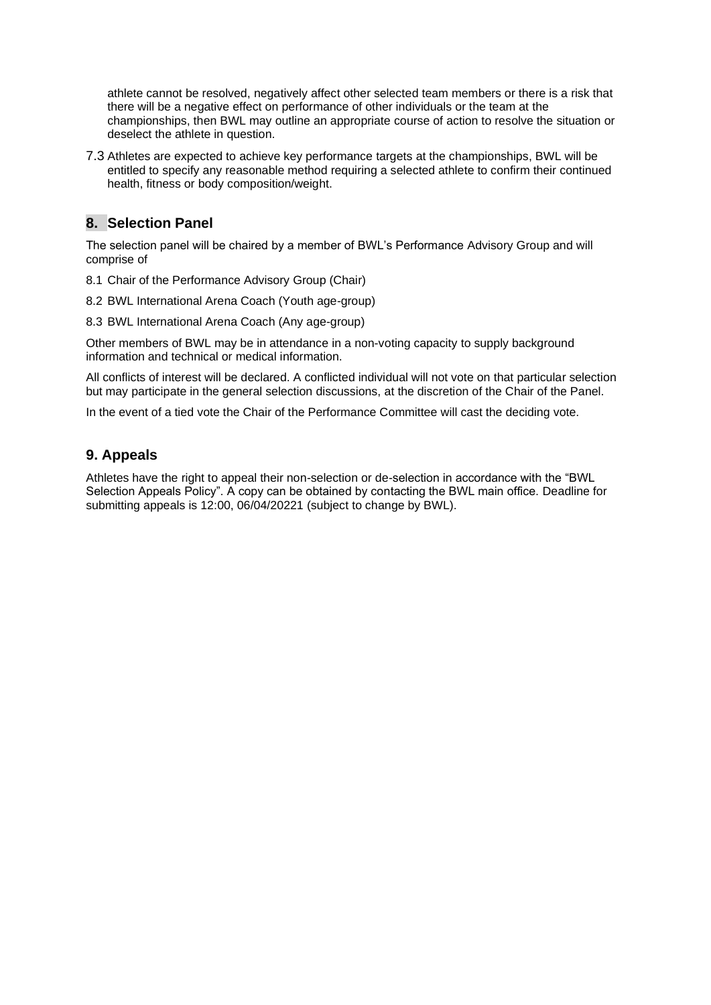athlete cannot be resolved, negatively affect other selected team members or there is a risk that there will be a negative effect on performance of other individuals or the team at the championships, then BWL may outline an appropriate course of action to resolve the situation or deselect the athlete in question.

7.3 Athletes are expected to achieve key performance targets at the championships, BWL will be entitled to specify any reasonable method requiring a selected athlete to confirm their continued health, fitness or body composition/weight.

# **8. Selection Panel**

The selection panel will be chaired by a member of BWL's Performance Advisory Group and will comprise of

- 8.1 Chair of the Performance Advisory Group (Chair)
- 8.2 BWL International Arena Coach (Youth age-group)
- 8.3 BWL International Arena Coach (Any age-group)

Other members of BWL may be in attendance in a non-voting capacity to supply background information and technical or medical information.

All conflicts of interest will be declared. A conflicted individual will not vote on that particular selection but may participate in the general selection discussions, at the discretion of the Chair of the Panel.

In the event of a tied vote the Chair of the Performance Committee will cast the deciding vote.

# **9. Appeals**

Athletes have the right to appeal their non-selection or de-selection in accordance with the "BWL Selection Appeals Policy". A copy can be obtained by contacting the BWL main office. Deadline for submitting appeals is 12:00, 06/04/20221 (subject to change by BWL).